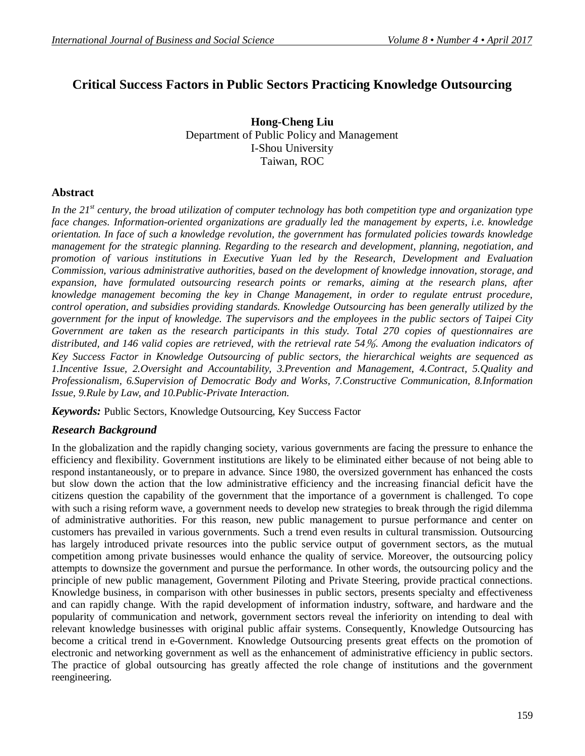# **Critical Success Factors in Public Sectors Practicing Knowledge Outsourcing**

**Hong-Cheng Liu** Department of Public Policy and Management I-Shou University Taiwan, ROC

## **Abstract**

*In the 21st century, the broad utilization of computer technology has both competition type and organization type face changes. Information-oriented organizations are gradually led the management by experts, i.e. knowledge orientation. In face of such a knowledge revolution, the government has formulated policies towards knowledge management for the strategic planning. Regarding to the research and development, planning, negotiation, and promotion of various institutions in Executive Yuan led by the Research, Development and Evaluation Commission, various administrative authorities, based on the development of knowledge innovation, storage, and expansion, have formulated outsourcing research points or remarks, aiming at the research plans, after knowledge management becoming the key in Change Management, in order to regulate entrust procedure, control operation, and subsidies providing standards. Knowledge Outsourcing has been generally utilized by the government for the input of knowledge. The supervisors and the employees in the public sectors of Taipei City Government are taken as the research participants in this study. Total 270 copies of questionnaires are distributed, and 146 valid copies are retrieved, with the retrieval rate 54%. Among the evaluation indicators of Key Success Factor in Knowledge Outsourcing of public sectors, the hierarchical weights are sequenced as 1.Incentive Issue, 2.Oversight and Accountability, 3.Prevention and Management, 4.Contract, 5.Quality and Professionalism, 6.Supervision of Democratic Body and Works, 7.Constructive Communication, 8.Information Issue, 9.Rule by Law, and 10.Public-Private Interaction.*

*Keywords:* Public Sectors, Knowledge Outsourcing, Key Success Factor

## *Research Background*

In the globalization and the rapidly changing society, various governments are facing the pressure to enhance the efficiency and flexibility. Government institutions are likely to be eliminated either because of not being able to respond instantaneously, or to prepare in advance. Since 1980, the oversized government has enhanced the costs but slow down the action that the low administrative efficiency and the increasing financial deficit have the citizens question the capability of the government that the importance of a government is challenged. To cope with such a rising reform wave, a government needs to develop new strategies to break through the rigid dilemma of administrative authorities. For this reason, new public management to pursue performance and center on customers has prevailed in various governments. Such a trend even results in cultural transmission. Outsourcing has largely introduced private resources into the public service output of government sectors, as the mutual competition among private businesses would enhance the quality of service. Moreover, the outsourcing policy attempts to downsize the government and pursue the performance. In other words, the outsourcing policy and the principle of new public management, Government Piloting and Private Steering, provide practical connections. Knowledge business, in comparison with other businesses in public sectors, presents specialty and effectiveness and can rapidly change. With the rapid development of information industry, software, and hardware and the popularity of communication and network, government sectors reveal the inferiority on intending to deal with relevant knowledge businesses with original public affair systems. Consequently, Knowledge Outsourcing has become a critical trend in e-Government. Knowledge Outsourcing presents great effects on the promotion of electronic and networking government as well as the enhancement of administrative efficiency in public sectors. The practice of global outsourcing has greatly affected the role change of institutions and the government reengineering.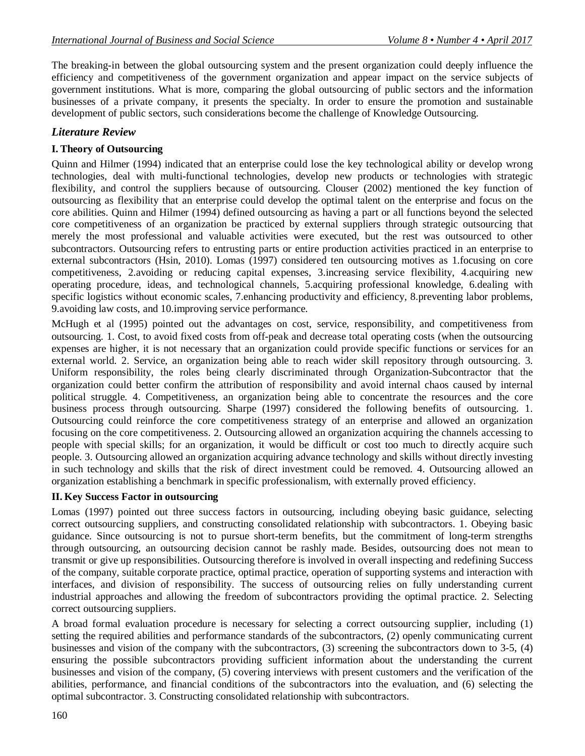The breaking-in between the global outsourcing system and the present organization could deeply influence the efficiency and competitiveness of the government organization and appear impact on the service subjects of government institutions. What is more, comparing the global outsourcing of public sectors and the information businesses of a private company, it presents the specialty. In order to ensure the promotion and sustainable development of public sectors, such considerations become the challenge of Knowledge Outsourcing.

## *Literature Review*

## **I. Theory of Outsourcing**

Quinn and Hilmer (1994) indicated that an enterprise could lose the key technological ability or develop wrong technologies, deal with multi-functional technologies, develop new products or technologies with strategic flexibility, and control the suppliers because of outsourcing. Clouser (2002) mentioned the key function of outsourcing as flexibility that an enterprise could develop the optimal talent on the enterprise and focus on the core abilities. Quinn and Hilmer (1994) defined outsourcing as having a part or all functions beyond the selected core competitiveness of an organization be practiced by external suppliers through strategic outsourcing that merely the most professional and valuable activities were executed, but the rest was outsourced to other subcontractors. Outsourcing refers to entrusting parts or entire production activities practiced in an enterprise to external subcontractors (Hsin, 2010). Lomas (1997) considered ten outsourcing motives as 1.focusing on core competitiveness, 2.avoiding or reducing capital expenses, 3.increasing service flexibility, 4.acquiring new operating procedure, ideas, and technological channels, 5.acquiring professional knowledge, 6.dealing with specific logistics without economic scales, 7.enhancing productivity and efficiency, 8.preventing labor problems, 9.avoiding law costs, and 10.improving service performance.

McHugh et al (1995) pointed out the advantages on cost, service, responsibility, and competitiveness from outsourcing. 1. Cost, to avoid fixed costs from off-peak and decrease total operating costs (when the outsourcing expenses are higher, it is not necessary that an organization could provide specific functions or services for an external world. 2. Service, an organization being able to reach wider skill repository through outsourcing. 3. Uniform responsibility, the roles being clearly discriminated through Organization-Subcontractor that the organization could better confirm the attribution of responsibility and avoid internal chaos caused by internal political struggle. 4. Competitiveness, an organization being able to concentrate the resources and the core business process through outsourcing. Sharpe (1997) considered the following benefits of outsourcing. 1. Outsourcing could reinforce the core competitiveness strategy of an enterprise and allowed an organization focusing on the core competitiveness. 2. Outsourcing allowed an organization acquiring the channels accessing to people with special skills; for an organization, it would be difficult or cost too much to directly acquire such people. 3. Outsourcing allowed an organization acquiring advance technology and skills without directly investing in such technology and skills that the risk of direct investment could be removed. 4. Outsourcing allowed an organization establishing a benchmark in specific professionalism, with externally proved efficiency.

#### **II. Key Success Factor in outsourcing**

Lomas (1997) pointed out three success factors in outsourcing, including obeying basic guidance, selecting correct outsourcing suppliers, and constructing consolidated relationship with subcontractors. 1. Obeying basic guidance. Since outsourcing is not to pursue short-term benefits, but the commitment of long-term strengths through outsourcing, an outsourcing decision cannot be rashly made. Besides, outsourcing does not mean to transmit or give up responsibilities. Outsourcing therefore is involved in overall inspecting and redefining Success of the company, suitable corporate practice, optimal practice, operation of supporting systems and interaction with interfaces, and division of responsibility. The success of outsourcing relies on fully understanding current industrial approaches and allowing the freedom of subcontractors providing the optimal practice. 2. Selecting correct outsourcing suppliers.

A broad formal evaluation procedure is necessary for selecting a correct outsourcing supplier, including (1) setting the required abilities and performance standards of the subcontractors, (2) openly communicating current businesses and vision of the company with the subcontractors, (3) screening the subcontractors down to 3-5, (4) ensuring the possible subcontractors providing sufficient information about the understanding the current businesses and vision of the company, (5) covering interviews with present customers and the verification of the abilities, performance, and financial conditions of the subcontractors into the evaluation, and (6) selecting the optimal subcontractor. 3. Constructing consolidated relationship with subcontractors.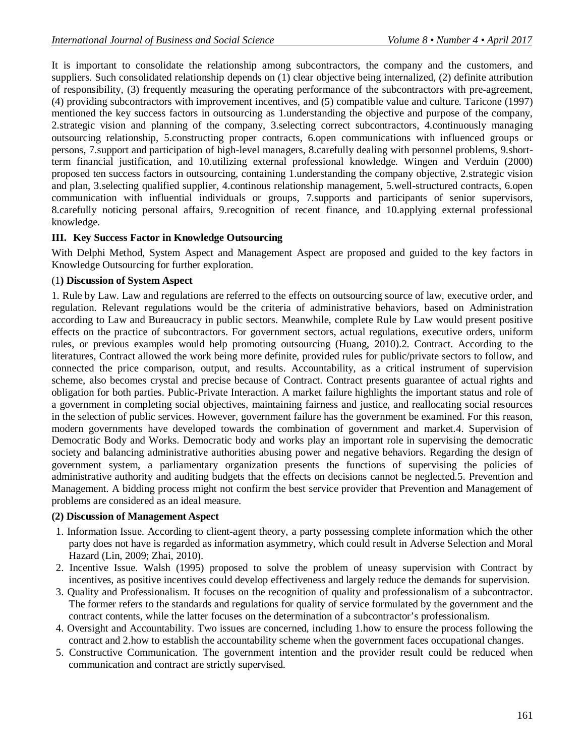It is important to consolidate the relationship among subcontractors, the company and the customers, and suppliers. Such consolidated relationship depends on (1) clear objective being internalized, (2) definite attribution of responsibility, (3) frequently measuring the operating performance of the subcontractors with pre-agreement, (4) providing subcontractors with improvement incentives, and (5) compatible value and culture. Taricone (1997) mentioned the key success factors in outsourcing as 1.understanding the objective and purpose of the company, 2.strategic vision and planning of the company, 3.selecting correct subcontractors, 4.continuously managing outsourcing relationship, 5.constructing proper contracts, 6.open communications with influenced groups or persons, 7.support and participation of high-level managers, 8.carefully dealing with personnel problems, 9.shortterm financial justification, and 10.utilizing external professional knowledge. Wingen and Verduin (2000) proposed ten success factors in outsourcing, containing 1.understanding the company objective, 2.strategic vision and plan, 3.selecting qualified supplier, 4.continous relationship management, 5.well-structured contracts, 6.open communication with influential individuals or groups, 7.supports and participants of senior supervisors, 8.carefully noticing personal affairs, 9.recognition of recent finance, and 10.applying external professional knowledge.

#### **III. Key Success Factor in Knowledge Outsourcing**

With Delphi Method, System Aspect and Management Aspect are proposed and guided to the key factors in Knowledge Outsourcing for further exploration.

#### (1**) Discussion of System Aspect**

1. Rule by Law. Law and regulations are referred to the effects on outsourcing source of law, executive order, and regulation. Relevant regulations would be the criteria of administrative behaviors, based on Administration according to Law and Bureaucracy in public sectors. Meanwhile, complete Rule by Law would present positive effects on the practice of subcontractors. For government sectors, actual regulations, executive orders, uniform rules, or previous examples would help promoting outsourcing (Huang, 2010).2. Contract. According to the literatures, Contract allowed the work being more definite, provided rules for public/private sectors to follow, and connected the price comparison, output, and results. Accountability, as a critical instrument of supervision scheme, also becomes crystal and precise because of Contract. Contract presents guarantee of actual rights and obligation for both parties. Public-Private Interaction. A market failure highlights the important status and role of a government in completing social objectives, maintaining fairness and justice, and reallocating social resources in the selection of public services. However, government failure has the government be examined. For this reason, modern governments have developed towards the combination of government and market.4. Supervision of Democratic Body and Works. Democratic body and works play an important role in supervising the democratic society and balancing administrative authorities abusing power and negative behaviors. Regarding the design of government system, a parliamentary organization presents the functions of supervising the policies of administrative authority and auditing budgets that the effects on decisions cannot be neglected.5. Prevention and Management. A bidding process might not confirm the best service provider that Prevention and Management of problems are considered as an ideal measure.

#### **(2) Discussion of Management Aspect**

- 1. Information Issue. According to client-agent theory, a party possessing complete information which the other party does not have is regarded as information asymmetry, which could result in Adverse Selection and Moral Hazard (Lin, 2009; Zhai, 2010).
- 2. Incentive Issue. Walsh (1995) proposed to solve the problem of uneasy supervision with Contract by incentives, as positive incentives could develop effectiveness and largely reduce the demands for supervision.
- 3. Quality and Professionalism. It focuses on the recognition of quality and professionalism of a subcontractor. The former refers to the standards and regulations for quality of service formulated by the government and the contract contents, while the latter focuses on the determination of a subcontractor's professionalism.
- 4. Oversight and Accountability. Two issues are concerned, including 1.how to ensure the process following the contract and 2.how to establish the accountability scheme when the government faces occupational changes.
- 5. Constructive Communication. The government intention and the provider result could be reduced when communication and contract are strictly supervised.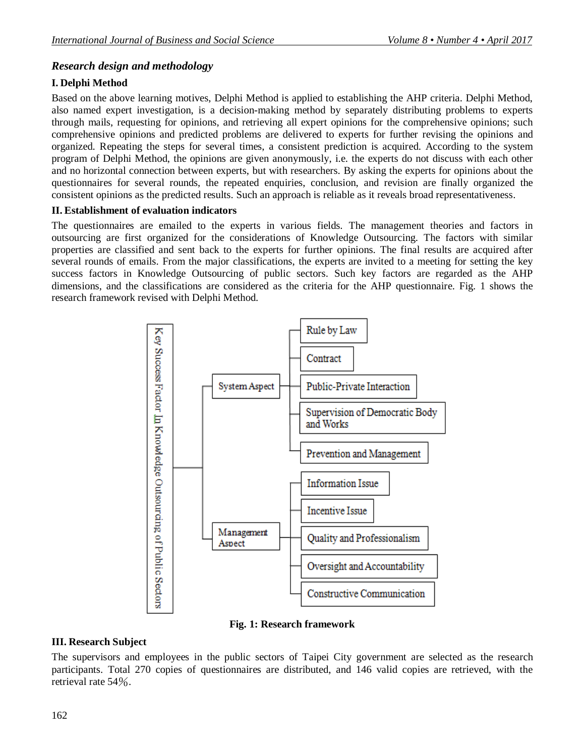## *Research design and methodology*

## **I. Delphi Method**

Based on the above learning motives, Delphi Method is applied to establishing the AHP criteria. Delphi Method, also named expert investigation, is a decision-making method by separately distributing problems to experts through mails, requesting for opinions, and retrieving all expert opinions for the comprehensive opinions; such comprehensive opinions and predicted problems are delivered to experts for further revising the opinions and organized. Repeating the steps for several times, a consistent prediction is acquired. According to the system program of Delphi Method, the opinions are given anonymously, i.e. the experts do not discuss with each other and no horizontal connection between experts, but with researchers. By asking the experts for opinions about the questionnaires for several rounds, the repeated enquiries, conclusion, and revision are finally organized the consistent opinions as the predicted results. Such an approach is reliable as it reveals broad representativeness.

#### **II. Establishment of evaluation indicators**

The questionnaires are emailed to the experts in various fields. The management theories and factors in outsourcing are first organized for the considerations of Knowledge Outsourcing. The factors with similar properties are classified and sent back to the experts for further opinions. The final results are acquired after several rounds of emails. From the major classifications, the experts are invited to a meeting for setting the key success factors in Knowledge Outsourcing of public sectors. Such key factors are regarded as the AHP dimensions, and the classifications are considered as the criteria for the AHP questionnaire. Fig. 1 shows the research framework revised with Delphi Method.



**Fig. 1: Research framework**

#### **III. Research Subject**

The supervisors and employees in the public sectors of Taipei City government are selected as the research participants. Total 270 copies of questionnaires are distributed, and 146 valid copies are retrieved, with the retrieval rate 54%.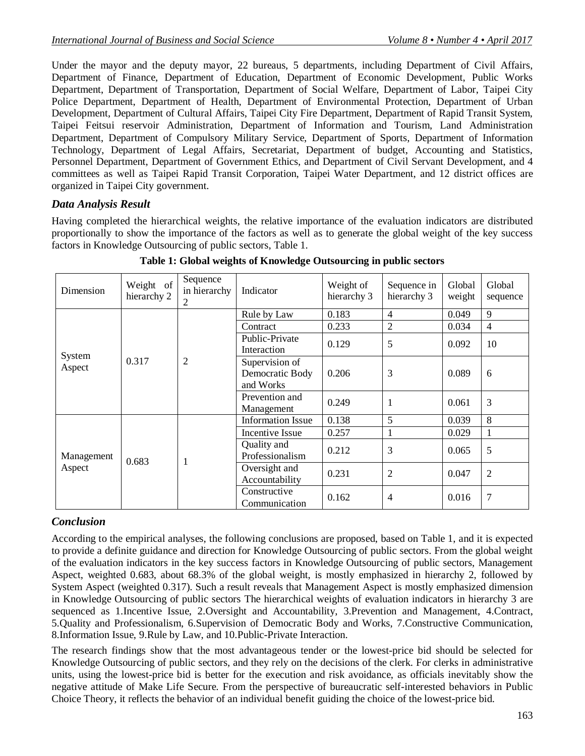Under the mayor and the deputy mayor, 22 bureaus, 5 departments, including Department of Civil Affairs, Department of Finance, Department of Education, Department of Economic Development, Public Works Department, Department of Transportation, Department of Social Welfare, Department of Labor, Taipei City Police Department, Department of Health, Department of Environmental Protection, Department of Urban Development, Department of Cultural Affairs, Taipei City Fire Department, Department of Rapid Transit System, Taipei Feitsui reservoir Administration, Department of Information and Tourism, Land Administration Department, Department of Compulsory Military Service, Department of Sports, Department of Information Technology, Department of Legal Affairs, Secretariat, Department of budget, Accounting and Statistics, Personnel Department, Department of Government Ethics, and Department of Civil Servant Development, and 4 committees as well as Taipei Rapid Transit Corporation, Taipei Water Department, and 12 district offices are organized in Taipei City government.

## *Data Analysis Result*

Having completed the hierarchical weights, the relative importance of the evaluation indicators are distributed proportionally to show the importance of the factors as well as to generate the global weight of the key success factors in Knowledge Outsourcing of public sectors, Table 1.

| Dimension            | Weight of<br>hierarchy 2 | Sequence<br>in hierarchy<br>2 | Indicator                                      | Weight of<br>hierarchy 3 | Sequence in<br>hierarchy 3 | Global<br>weight | Global<br>sequence |
|----------------------|--------------------------|-------------------------------|------------------------------------------------|--------------------------|----------------------------|------------------|--------------------|
| System<br>Aspect     | 0.317                    | $\overline{c}$                | Rule by Law                                    | 0.183                    | $\overline{4}$             | 0.049            | 9                  |
|                      |                          |                               | Contract                                       | 0.233                    | $\mathfrak{2}$             | 0.034            | $\overline{4}$     |
|                      |                          |                               | Public-Private<br>Interaction                  | 0.129                    | 5                          | 0.092            | 10                 |
|                      |                          |                               | Supervision of<br>Democratic Body<br>and Works | 0.206                    | 3                          | 0.089            | 6                  |
|                      |                          |                               | Prevention and<br>Management                   | 0.249                    |                            | 0.061            | 3                  |
| Management<br>Aspect | 0.683                    | 1                             | <b>Information Issue</b>                       | 0.138                    | 5                          | 0.039            | 8                  |
|                      |                          |                               | Incentive Issue                                | 0.257                    |                            | 0.029            | 1                  |
|                      |                          |                               | Quality and<br>Professionalism                 | 0.212                    | 3                          | 0.065            | 5                  |
|                      |                          |                               | Oversight and<br>Accountability                | 0.231                    | $\overline{2}$             | 0.047            | $\overline{2}$     |
|                      |                          |                               | Constructive<br>Communication                  | 0.162                    | $\overline{4}$             | 0.016            | 7                  |

**Table 1: Global weights of Knowledge Outsourcing in public sectors**

## *Conclusion*

According to the empirical analyses, the following conclusions are proposed, based on Table 1, and it is expected to provide a definite guidance and direction for Knowledge Outsourcing of public sectors. From the global weight of the evaluation indicators in the key success factors in Knowledge Outsourcing of public sectors, Management Aspect, weighted 0.683, about 68.3% of the global weight, is mostly emphasized in hierarchy 2, followed by System Aspect (weighted 0.317). Such a result reveals that Management Aspect is mostly emphasized dimension in Knowledge Outsourcing of public sectors The hierarchical weights of evaluation indicators in hierarchy 3 are sequenced as 1.Incentive Issue, 2.Oversight and Accountability, 3.Prevention and Management, 4.Contract, 5.Quality and Professionalism, 6.Supervision of Democratic Body and Works, 7.Constructive Communication, 8.Information Issue, 9.Rule by Law, and 10.Public-Private Interaction.

The research findings show that the most advantageous tender or the lowest-price bid should be selected for Knowledge Outsourcing of public sectors, and they rely on the decisions of the clerk. For clerks in administrative units, using the lowest-price bid is better for the execution and risk avoidance, as officials inevitably show the negative attitude of Make Life Secure. From the perspective of bureaucratic self-interested behaviors in Public Choice Theory, it reflects the behavior of an individual benefit guiding the choice of the lowest-price bid.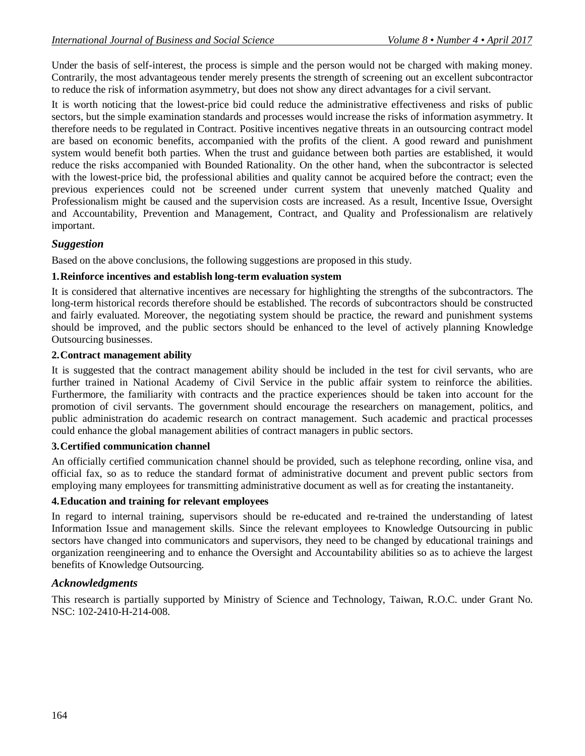Under the basis of self-interest, the process is simple and the person would not be charged with making money. Contrarily, the most advantageous tender merely presents the strength of screening out an excellent subcontractor to reduce the risk of information asymmetry, but does not show any direct advantages for a civil servant.

It is worth noticing that the lowest-price bid could reduce the administrative effectiveness and risks of public sectors, but the simple examination standards and processes would increase the risks of information asymmetry. It therefore needs to be regulated in Contract. Positive incentives negative threats in an outsourcing contract model are based on economic benefits, accompanied with the profits of the client. A good reward and punishment system would benefit both parties. When the trust and guidance between both parties are established, it would reduce the risks accompanied with Bounded Rationality. On the other hand, when the subcontractor is selected with the lowest-price bid, the professional abilities and quality cannot be acquired before the contract; even the previous experiences could not be screened under current system that unevenly matched Quality and Professionalism might be caused and the supervision costs are increased. As a result, Incentive Issue, Oversight and Accountability, Prevention and Management, Contract, and Quality and Professionalism are relatively important.

#### *Suggestion*

Based on the above conclusions, the following suggestions are proposed in this study.

#### **1.Reinforce incentives and establish long-term evaluation system**

It is considered that alternative incentives are necessary for highlighting the strengths of the subcontractors. The long-term historical records therefore should be established. The records of subcontractors should be constructed and fairly evaluated. Moreover, the negotiating system should be practice, the reward and punishment systems should be improved, and the public sectors should be enhanced to the level of actively planning Knowledge Outsourcing businesses.

#### **2.Contract management ability**

It is suggested that the contract management ability should be included in the test for civil servants, who are further trained in National Academy of Civil Service in the public affair system to reinforce the abilities. Furthermore, the familiarity with contracts and the practice experiences should be taken into account for the promotion of civil servants. The government should encourage the researchers on management, politics, and public administration do academic research on contract management. Such academic and practical processes could enhance the global management abilities of contract managers in public sectors.

#### **3.Certified communication channel**

An officially certified communication channel should be provided, such as telephone recording, online visa, and official fax, so as to reduce the standard format of administrative document and prevent public sectors from employing many employees for transmitting administrative document as well as for creating the instantaneity.

#### **4.Education and training for relevant employees**

In regard to internal training, supervisors should be re-educated and re-trained the understanding of latest Information Issue and management skills. Since the relevant employees to Knowledge Outsourcing in public sectors have changed into communicators and supervisors, they need to be changed by educational trainings and organization reengineering and to enhance the Oversight and Accountability abilities so as to achieve the largest benefits of Knowledge Outsourcing.

#### *Acknowledgments*

This research is partially supported by Ministry of Science and Technology, Taiwan, R.O.C. under Grant No. NSC: 102-2410-H-214-008.